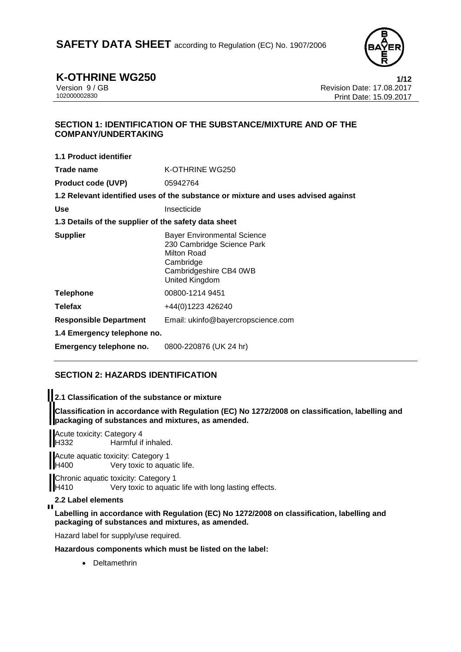

**K-OTHRINE WG250 1/12**<br>Version 9 / GB **1/12**<br>Revision Date: 17.08.2017 Version 9 / GB Revision Date: 17.08.2017 Print Date: 15.09.2017

# **SECTION 1: IDENTIFICATION OF THE SUBSTANCE/MIXTURE AND OF THE COMPANY/UNDERTAKING**

| 1.1 Product identifier                               |                                                                                                                                          |
|------------------------------------------------------|------------------------------------------------------------------------------------------------------------------------------------------|
| Trade name                                           | K-OTHRINE WG250                                                                                                                          |
| <b>Product code (UVP)</b>                            | 05942764                                                                                                                                 |
|                                                      | 1.2 Relevant identified uses of the substance or mixture and uses advised against                                                        |
| <b>Use</b>                                           | Insecticide                                                                                                                              |
| 1.3 Details of the supplier of the safety data sheet |                                                                                                                                          |
| <b>Supplier</b>                                      | <b>Bayer Environmental Science</b><br>230 Cambridge Science Park<br>Milton Road<br>Cambridge<br>Cambridgeshire CB4 0WB<br>United Kingdom |
| <b>Telephone</b>                                     | 00800-1214 9451                                                                                                                          |
| Telefax                                              | +44(0)1223 426240                                                                                                                        |
| <b>Responsible Department</b>                        | Email: ukinfo@bayercropscience.com                                                                                                       |
| 1.4 Emergency telephone no.                          |                                                                                                                                          |
| Emergency telephone no.                              | 0800-220876 (UK 24 hr)                                                                                                                   |

# **SECTION 2: HAZARDS IDENTIFICATION**

**2.1 Classification of the substance or mixture**

**Classification in accordance with Regulation (EC) No 1272/2008 on classification, labelling and packaging of substances and mixtures, as amended.**

Acute toxicity: Category 4<br>H332 Harmful if Harmful if inhaled.

Acute aquatic toxicity: Category 1 H400 Very toxic to aquatic life.

**Chronic aquatic toxicity: Category 1**<br>H410 Very toxic to aquation Very toxic to aquatic life with long lasting effects.

# **2.2 Label elements**

 $\blacksquare$ 

**Labelling in accordance with Regulation (EC) No 1272/2008 on classification, labelling and packaging of substances and mixtures, as amended.**

Hazard label for supply/use required.

**Hazardous components which must be listed on the label:**

• Deltamethrin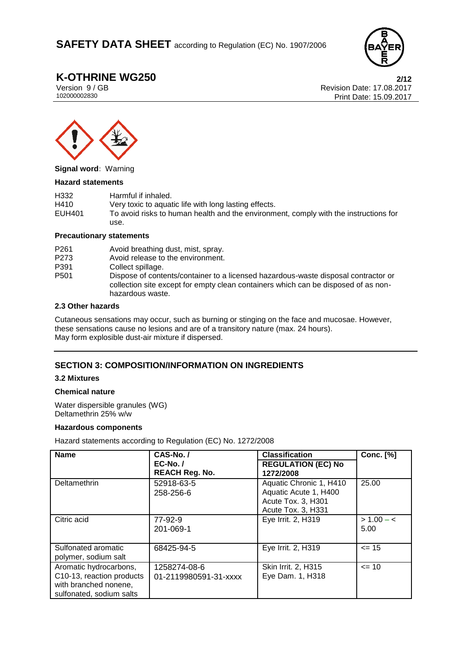

**K-OTHRINE WG250 2/12**<br>
Version 9/GB **2017**<br>
Revision Date: 17.08.2017 Version 9 / GB Revision Date: 17.08.2017 Print Date: 15.09.2017



**Signal word:** Warning

#### **Hazard statements**

| H332   | Harmful if inhaled.                                                                  |
|--------|--------------------------------------------------------------------------------------|
| H410   | Very toxic to aquatic life with long lasting effects.                                |
| EUH401 | To avoid risks to human health and the environment, comply with the instructions for |
|        | use.                                                                                 |

### **Precautionary statements**

| P <sub>261</sub> | Avoid breathing dust, mist, spray.                                                                                                                                                           |
|------------------|----------------------------------------------------------------------------------------------------------------------------------------------------------------------------------------------|
| P273             | Avoid release to the environment.                                                                                                                                                            |
| P391             | Collect spillage.                                                                                                                                                                            |
| P <sub>501</sub> | Dispose of contents/container to a licensed hazardous-waste disposal contractor or<br>collection site except for empty clean containers which can be disposed of as non-<br>hazardous waste. |

### **2.3 Other hazards**

Cutaneous sensations may occur, such as burning or stinging on the face and mucosae. However, these sensations cause no lesions and are of a transitory nature (max. 24 hours). May form explosible dust-air mixture if dispersed.

# **SECTION 3: COMPOSITION/INFORMATION ON INGREDIENTS**

### **3.2 Mixtures**

### **Chemical nature**

Water dispersible granules (WG) Deltamethrin 25% w/w

### **Hazardous components**

Hazard statements according to Regulation (EC) No. 1272/2008

| <b>Name</b>                                                                                              | CAS-No./                              | <b>Classification</b>                                                                        | <b>Conc.</b> [%]     |  |
|----------------------------------------------------------------------------------------------------------|---------------------------------------|----------------------------------------------------------------------------------------------|----------------------|--|
|                                                                                                          | $EC-No.$<br><b>REACH Reg. No.</b>     | <b>REGULATION (EC) No</b><br>1272/2008                                                       |                      |  |
| Deltamethrin                                                                                             | 52918-63-5<br>258-256-6               | Aquatic Chronic 1, H410<br>Aquatic Acute 1, H400<br>Acute Tox. 3, H301<br>Acute Tox. 3, H331 | 25.00                |  |
| Citric acid                                                                                              | 77-92-9<br>201-069-1                  | Eye Irrit. 2, H319                                                                           | $> 1.00 - c$<br>5.00 |  |
| Sulfonated aromatic<br>polymer, sodium salt                                                              | 68425-94-5                            | Eye Irrit. 2, H319                                                                           | $\leq$ 15            |  |
| Aromatic hydrocarbons,<br>C10-13, reaction products<br>with branched nonene,<br>sulfonated, sodium salts | 1258274-08-6<br>01-2119980591-31-xxxx | Skin Irrit. 2, H315<br>Eye Dam. 1, H318                                                      | $= 10$               |  |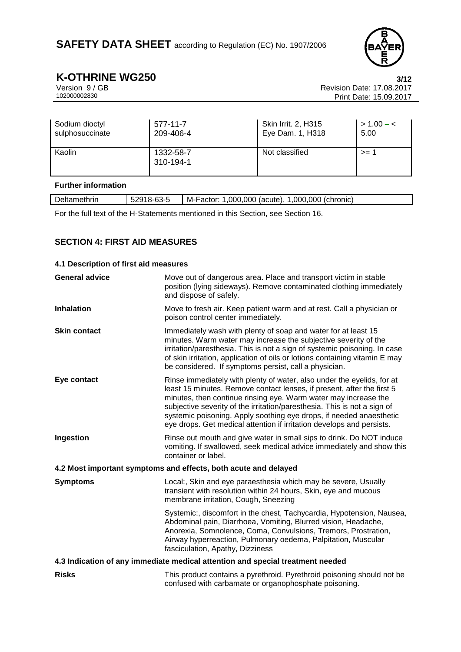

**K-OTHRINE WG250 3/12**<br>Version 9/GB **17.08.2017** Version 9 / GB Revision Date: 17.08.2017 Print Date: 15.09.2017

| Sodium dioctyl  | $577 - 11 - 7$         | Skin Irrit. 2, H315 | $> 1.00 - c$ |
|-----------------|------------------------|---------------------|--------------|
| sulphosuccinate | 209-406-4              | Eye Dam. 1, H318    | 5.00         |
| Kaolin          | 1332-58-7<br>310-194-1 | Not classified      | $>= 1$       |

### **Further information**

| Deltamethrin                                                                     | 52918-63-5 | M-Factor: 1,000,000 (acute), 1,000,000 (chronic) |
|----------------------------------------------------------------------------------|------------|--------------------------------------------------|
| For the full text of the H-Statements mentioned in this Section, see Section 16. |            |                                                  |

# **SECTION 4: FIRST AID MEASURES**

| 4.1 Description of first aid measures |                                                                                                                                                                                                                                                                                                                                                                                                                                                 |  |  |  |
|---------------------------------------|-------------------------------------------------------------------------------------------------------------------------------------------------------------------------------------------------------------------------------------------------------------------------------------------------------------------------------------------------------------------------------------------------------------------------------------------------|--|--|--|
| <b>General advice</b>                 | Move out of dangerous area. Place and transport victim in stable<br>position (lying sideways). Remove contaminated clothing immediately<br>and dispose of safely.                                                                                                                                                                                                                                                                               |  |  |  |
| <b>Inhalation</b>                     | Move to fresh air. Keep patient warm and at rest. Call a physician or<br>poison control center immediately.                                                                                                                                                                                                                                                                                                                                     |  |  |  |
| <b>Skin contact</b>                   | Immediately wash with plenty of soap and water for at least 15<br>minutes. Warm water may increase the subjective severity of the<br>irritation/paresthesia. This is not a sign of systemic poisoning. In case<br>of skin irritation, application of oils or lotions containing vitamin E may<br>be considered. If symptoms persist, call a physician.                                                                                          |  |  |  |
| Eye contact                           | Rinse immediately with plenty of water, also under the eyelids, for at<br>least 15 minutes. Remove contact lenses, if present, after the first 5<br>minutes, then continue rinsing eye. Warm water may increase the<br>subjective severity of the irritation/paresthesia. This is not a sign of<br>systemic poisoning. Apply soothing eye drops, if needed anaesthetic<br>eye drops. Get medical attention if irritation develops and persists. |  |  |  |
| Ingestion                             | Rinse out mouth and give water in small sips to drink. Do NOT induce<br>vomiting. If swallowed, seek medical advice immediately and show this<br>container or label.                                                                                                                                                                                                                                                                            |  |  |  |
|                                       | 4.2 Most important symptoms and effects, both acute and delayed                                                                                                                                                                                                                                                                                                                                                                                 |  |  |  |
| <b>Symptoms</b>                       | Local:, Skin and eye paraesthesia which may be severe, Usually<br>transient with resolution within 24 hours, Skin, eye and mucous<br>membrane irritation, Cough, Sneezing                                                                                                                                                                                                                                                                       |  |  |  |
|                                       | Systemic:, discomfort in the chest, Tachycardia, Hypotension, Nausea,<br>Abdominal pain, Diarrhoea, Vomiting, Blurred vision, Headache,<br>Anorexia, Somnolence, Coma, Convulsions, Tremors, Prostration,<br>Airway hyperreaction, Pulmonary oedema, Palpitation, Muscular<br>fasciculation, Apathy, Dizziness                                                                                                                                  |  |  |  |
|                                       | 4.3 Indication of any immediate medical attention and special treatment needed                                                                                                                                                                                                                                                                                                                                                                  |  |  |  |
| <b>Risks</b>                          | This product contains a pyrethroid. Pyrethroid poisoning should not be<br>confused with carbamate or organophosphate poisoning.                                                                                                                                                                                                                                                                                                                 |  |  |  |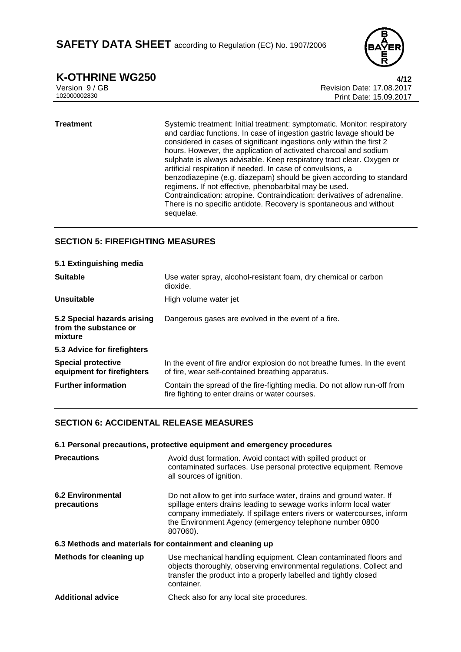

**K-OTHRINE WG250 4/12**<br>Version 9 / GB **17.08.2017** Version 9 / GB Revision Date: 17.08.2017 Print Date: 15.09.2017

#### **Treatment** Systemic treatment: Initial treatment: symptomatic. Monitor: respiratory and cardiac functions. In case of ingestion gastric lavage should be considered in cases of significant ingestions only within the first 2 hours. However, the application of activated charcoal and sodium sulphate is always advisable. Keep respiratory tract clear. Oxygen or artificial respiration if needed. In case of convulsions, a benzodiazepine (e.g. diazepam) should be given according to standard regimens. If not effective, phenobarbital may be used. Contraindication: atropine. Contraindication: derivatives of adrenaline. There is no specific antidote. Recovery is spontaneous and without sequelae.

# **SECTION 5: FIREFIGHTING MEASURES**

| 5.1 Extinguishing media                                         |                                                                                                                               |
|-----------------------------------------------------------------|-------------------------------------------------------------------------------------------------------------------------------|
| <b>Suitable</b>                                                 | Use water spray, alcohol-resistant foam, dry chemical or carbon<br>dioxide.                                                   |
| Unsuitable                                                      | High volume water jet                                                                                                         |
| 5.2 Special hazards arising<br>from the substance or<br>mixture | Dangerous gases are evolved in the event of a fire.                                                                           |
| 5.3 Advice for firefighters                                     |                                                                                                                               |
| <b>Special protective</b><br>equipment for firefighters         | In the event of fire and/or explosion do not breathe fumes. In the event<br>of fire, wear self-contained breathing apparatus. |
| <b>Further information</b>                                      | Contain the spread of the fire-fighting media. Do not allow run-off from<br>fire fighting to enter drains or water courses.   |

# **SECTION 6: ACCIDENTAL RELEASE MEASURES**

|                                                           | 6.1 Personal precautions, protective equipment and emergency procedures                                                                                                                                                                                                                   |
|-----------------------------------------------------------|-------------------------------------------------------------------------------------------------------------------------------------------------------------------------------------------------------------------------------------------------------------------------------------------|
| <b>Precautions</b>                                        | Avoid dust formation. Avoid contact with spilled product or<br>contaminated surfaces. Use personal protective equipment. Remove<br>all sources of ignition.                                                                                                                               |
| <b>6.2 Environmental</b><br>precautions                   | Do not allow to get into surface water, drains and ground water. If<br>spillage enters drains leading to sewage works inform local water<br>company immediately. If spillage enters rivers or watercourses, inform<br>the Environment Agency (emergency telephone number 0800<br>807060). |
| 6.3 Methods and materials for containment and cleaning up |                                                                                                                                                                                                                                                                                           |
| Methods for cleaning up                                   | Use mechanical handling equipment. Clean contaminated floors and<br>objects thoroughly, observing environmental regulations. Collect and<br>transfer the product into a properly labelled and tightly closed<br>container.                                                                |
| <b>Additional advice</b>                                  | Check also for any local site procedures.                                                                                                                                                                                                                                                 |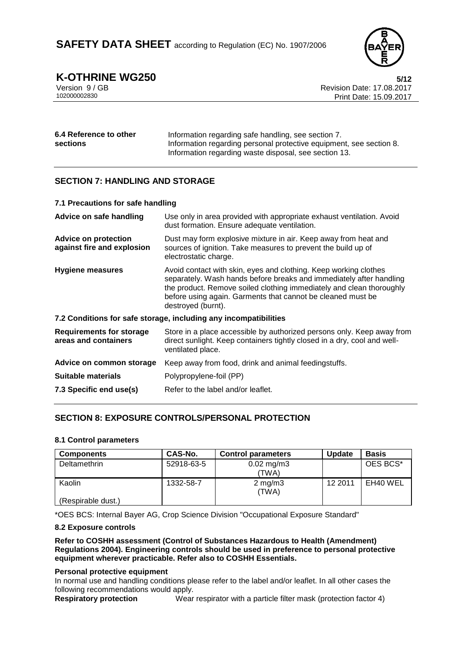

**K-OTHRINE WG250** 5/12<br>Version 9 / GB 6/12<br>Revision Date: 17.08.2017 Version 9 / GB Revision Date: 17.08.2017 Print Date: 15.09.2017

| 6.4 Reference to other | Information regarding safe handling, see section 7.                 |  |
|------------------------|---------------------------------------------------------------------|--|
| <b>sections</b>        | Information regarding personal protective equipment, see section 8. |  |
|                        | Information regarding waste disposal, see section 13.               |  |

# **SECTION 7: HANDLING AND STORAGE**

| 7.1 Precautions for safe handling                         |                                                                                                                                                                                                                                                                                                      |  |  |
|-----------------------------------------------------------|------------------------------------------------------------------------------------------------------------------------------------------------------------------------------------------------------------------------------------------------------------------------------------------------------|--|--|
| Advice on safe handling                                   | Use only in area provided with appropriate exhaust ventilation. Avoid<br>dust formation. Ensure adequate ventilation.                                                                                                                                                                                |  |  |
| <b>Advice on protection</b><br>against fire and explosion | Dust may form explosive mixture in air. Keep away from heat and<br>sources of ignition. Take measures to prevent the build up of<br>electrostatic charge.                                                                                                                                            |  |  |
| <b>Hygiene measures</b>                                   | Avoid contact with skin, eyes and clothing. Keep working clothes<br>separately. Wash hands before breaks and immediately after handling<br>the product. Remove soiled clothing immediately and clean thoroughly<br>before using again. Garments that cannot be cleaned must be<br>destroyed (burnt). |  |  |
|                                                           | 7.2 Conditions for safe storage, including any incompatibilities                                                                                                                                                                                                                                     |  |  |
| <b>Requirements for storage</b><br>areas and containers   | Store in a place accessible by authorized persons only. Keep away from<br>direct sunlight. Keep containers tightly closed in a dry, cool and well-<br>ventilated place.                                                                                                                              |  |  |
| Advice on common storage                                  | Keep away from food, drink and animal feedingstuffs.                                                                                                                                                                                                                                                 |  |  |
| <b>Suitable materials</b>                                 | Polypropylene-foil (PP)                                                                                                                                                                                                                                                                              |  |  |
| 7.3 Specific end use(s)                                   | Refer to the label and/or leaflet.                                                                                                                                                                                                                                                                   |  |  |
|                                                           |                                                                                                                                                                                                                                                                                                      |  |  |

# **SECTION 8: EXPOSURE CONTROLS/PERSONAL PROTECTION**

### **8.1 Control parameters**

| <b>Components</b>  | CAS-No.    | <b>Control parameters</b> | <b>Update</b> | <b>Basis</b> |
|--------------------|------------|---------------------------|---------------|--------------|
| Deltamethrin       | 52918-63-5 | $0.02 \,\mathrm{mg/m3}$   |               | OES BCS*     |
|                    |            | (TWA)                     |               |              |
| Kaolin             | 1332-58-7  | $2 \text{ mg/m}$<br>(TWA) | 12 2011       | EH40 WEL     |
| (Respirable dust.) |            |                           |               |              |

\*OES BCS: Internal Bayer AG, Crop Science Division "Occupational Exposure Standard"

#### **8.2 Exposure controls**

**Refer to COSHH assessment (Control of Substances Hazardous to Health (Amendment) Regulations 2004). Engineering controls should be used in preference to personal protective equipment wherever practicable. Refer also to COSHH Essentials.**

#### **Personal protective equipment**

In normal use and handling conditions please refer to the label and/or leaflet. In all other cases the following recommendations would apply.<br> **Respiratory protection** Wear

Wear respirator with a particle filter mask (protection factor 4)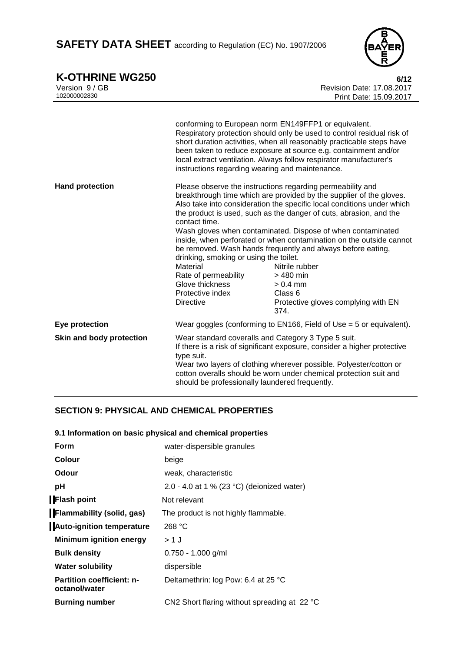SAFETY DATA SHEET according to Regulation (EC) No. 1907/2006



**K-OTHRINE WG250** 6/12

| Version 9 / GB<br>102000002830 |                                                                                                                                                        | Revision Date: 17,08,2017<br>Print Date: 15.09.2017                                                                                                                                                                                                                                                                                                                                                                                                                                                                                                                                            |
|--------------------------------|--------------------------------------------------------------------------------------------------------------------------------------------------------|------------------------------------------------------------------------------------------------------------------------------------------------------------------------------------------------------------------------------------------------------------------------------------------------------------------------------------------------------------------------------------------------------------------------------------------------------------------------------------------------------------------------------------------------------------------------------------------------|
|                                | instructions regarding wearing and maintenance.                                                                                                        | conforming to European norm EN149FFP1 or equivalent.<br>Respiratory protection should only be used to control residual risk of<br>short duration activities, when all reasonably practicable steps have<br>been taken to reduce exposure at source e.g. containment and/or<br>local extract ventilation. Always follow respirator manufacturer's                                                                                                                                                                                                                                               |
| <b>Hand protection</b>         | contact time.<br>drinking, smoking or using the toilet.<br>Material<br>Rate of permeability<br>Glove thickness<br>Protective index<br><b>Directive</b> | Please observe the instructions regarding permeability and<br>breakthrough time which are provided by the supplier of the gloves.<br>Also take into consideration the specific local conditions under which<br>the product is used, such as the danger of cuts, abrasion, and the<br>Wash gloves when contaminated. Dispose of when contaminated<br>inside, when perforated or when contamination on the outside cannot<br>be removed. Wash hands frequently and always before eating,<br>Nitrile rubber<br>$>480$ min<br>$> 0.4$ mm<br>Class 6<br>Protective gloves complying with EN<br>374. |
| Eye protection                 |                                                                                                                                                        | Wear goggles (conforming to EN166, Field of Use = 5 or equivalent).                                                                                                                                                                                                                                                                                                                                                                                                                                                                                                                            |
| Skin and body protection       | Wear standard coveralls and Category 3 Type 5 suit.<br>type suit.<br>should be professionally laundered frequently.                                    | If there is a risk of significant exposure, consider a higher protective<br>Wear two layers of clothing wherever possible. Polyester/cotton or<br>cotton overalls should be worn under chemical protection suit and                                                                                                                                                                                                                                                                                                                                                                            |

# **SECTION 9: PHYSICAL AND CHEMICAL PROPERTIES**

# **9.1 Information on basic physical and chemical properties**

| Form                                              | water-dispersible granules                   |
|---------------------------------------------------|----------------------------------------------|
| Colour                                            | beige                                        |
| Odour                                             | weak, characteristic                         |
| рH                                                | 2.0 - 4.0 at 1 % (23 °C) (deionized water)   |
| <b>Flash point</b>                                | Not relevant                                 |
| <b>Flammability (solid, gas)</b>                  | The product is not highly flammable.         |
| <b>Auto-ignition temperature</b>                  | 268 °C                                       |
| <b>Minimum ignition energy</b>                    | > 1 J                                        |
| <b>Bulk density</b>                               | $0.750 - 1.000$ g/ml                         |
| <b>Water solubility</b>                           | dispersible                                  |
| <b>Partition coefficient: n-</b><br>octanol/water | Deltamethrin: log Pow: 6.4 at 25 °C          |
| <b>Burning number</b>                             | CN2 Short flaring without spreading at 22 °C |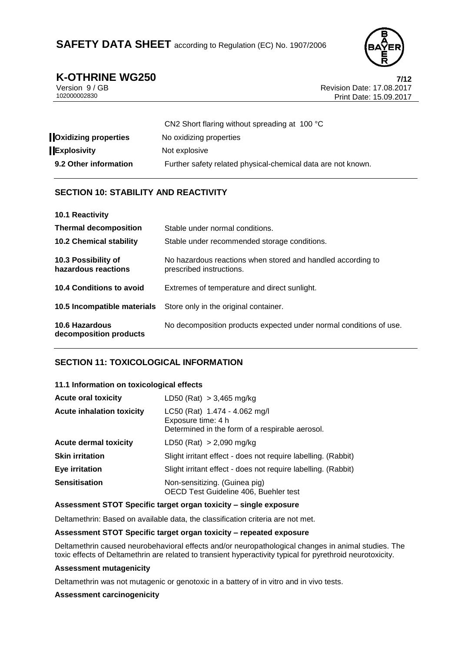

**K-OTHRINE WG250**<br>
Version 9/GB<br> **Revision Date: 17.08.2017** Version 9 / GB Revision Date: 17.08.2017 Print Date: 15.09.2017

| CN2 Short flaring without spreading at 100 °C                |
|--------------------------------------------------------------|
| No oxidizing properties                                      |
| Not explosive                                                |
| Further safety related physical-chemical data are not known. |
|                                                              |

# **SECTION 10: STABILITY AND REACTIVITY**

| 10.1 Reactivity                            |                                                                                         |
|--------------------------------------------|-----------------------------------------------------------------------------------------|
| <b>Thermal decomposition</b>               | Stable under normal conditions.                                                         |
| <b>10.2 Chemical stability</b>             | Stable under recommended storage conditions.                                            |
| 10.3 Possibility of<br>hazardous reactions | No hazardous reactions when stored and handled according to<br>prescribed instructions. |
| 10.4 Conditions to avoid                   | Extremes of temperature and direct sunlight.                                            |
| 10.5 Incompatible materials                | Store only in the original container.                                                   |
| 10.6 Hazardous<br>decomposition products   | No decomposition products expected under normal conditions of use.                      |

# **SECTION 11: TOXICOLOGICAL INFORMATION**

### **11.1 Information on toxicological effects**

| <b>Acute oral toxicity</b>       | LD50 (Rat) $> 3,465$ mg/kg                                                                             |
|----------------------------------|--------------------------------------------------------------------------------------------------------|
| <b>Acute inhalation toxicity</b> | LC50 (Rat) 1.474 - 4.062 mg/l<br>Exposure time: 4 h<br>Determined in the form of a respirable aerosol. |
| <b>Acute dermal toxicity</b>     | LD50 (Rat) $> 2,090$ mg/kg                                                                             |
| <b>Skin irritation</b>           | Slight irritant effect - does not require labelling. (Rabbit)                                          |
| <b>Eye irritation</b>            | Slight irritant effect - does not require labelling. (Rabbit)                                          |
| <b>Sensitisation</b>             | Non-sensitizing. (Guinea pig)<br>OECD Test Guideline 406, Buehler test                                 |

### **Assessment STOT Specific target organ toxicity – single exposure**

Deltamethrin: Based on available data, the classification criteria are not met.

### **Assessment STOT Specific target organ toxicity – repeated exposure**

Deltamethrin caused neurobehavioral effects and/or neuropathological changes in animal studies. The toxic effects of Deltamethrin are related to transient hyperactivity typical for pyrethroid neurotoxicity.

#### **Assessment mutagenicity**

Deltamethrin was not mutagenic or genotoxic in a battery of in vitro and in vivo tests.

### **Assessment carcinogenicity**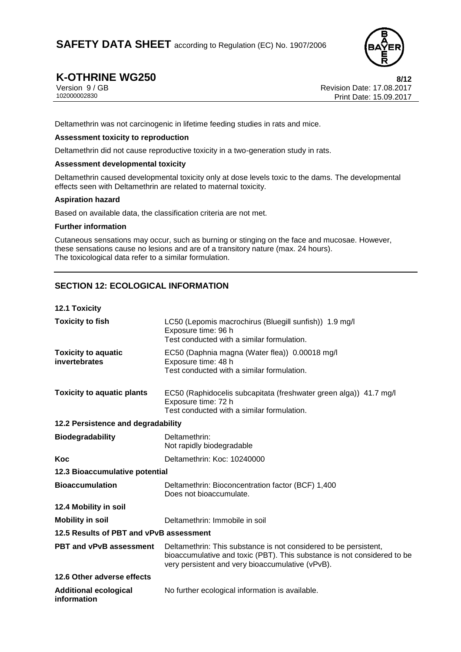

**K-OTHRINE WG250 8/12**<br>Version 9/GB **8/12**<br>Revision Date: 17.08.2017 Version 9 / GB Revision Date: 17.08.2017 Print Date: 15.09.2017

Deltamethrin was not carcinogenic in lifetime feeding studies in rats and mice.

### **Assessment toxicity to reproduction**

Deltamethrin did not cause reproductive toxicity in a two-generation study in rats.

#### **Assessment developmental toxicity**

Deltamethrin caused developmental toxicity only at dose levels toxic to the dams. The developmental effects seen with Deltamethrin are related to maternal toxicity.

#### **Aspiration hazard**

Based on available data, the classification criteria are not met.

### **Further information**

Cutaneous sensations may occur, such as burning or stinging on the face and mucosae. However, these sensations cause no lesions and are of a transitory nature (max. 24 hours). The toxicological data refer to a similar formulation.

# **SECTION 12: ECOLOGICAL INFORMATION**

|  | 12.1 Toxicity |
|--|---------------|
|--|---------------|

| <b>Toxicity to fish</b>                     | LC50 (Lepomis macrochirus (Bluegill sunfish)) 1.9 mg/l<br>Exposure time: 96 h<br>Test conducted with a similar formulation.                                                                     |
|---------------------------------------------|-------------------------------------------------------------------------------------------------------------------------------------------------------------------------------------------------|
| <b>Toxicity to aquatic</b><br>invertebrates | EC50 (Daphnia magna (Water flea)) 0.00018 mg/l<br>Exposure time: 48 h<br>Test conducted with a similar formulation.                                                                             |
| <b>Toxicity to aquatic plants</b>           | EC50 (Raphidocelis subcapitata (freshwater green alga)) 41.7 mg/l<br>Exposure time: 72 h<br>Test conducted with a similar formulation.                                                          |
| 12.2 Persistence and degradability          |                                                                                                                                                                                                 |
| <b>Biodegradability</b>                     | Deltamethrin:<br>Not rapidly biodegradable                                                                                                                                                      |
| Koc                                         | Deltamethrin: Koc: 10240000                                                                                                                                                                     |
| 12.3 Bioaccumulative potential              |                                                                                                                                                                                                 |
| <b>Bioaccumulation</b>                      | Deltamethrin: Bioconcentration factor (BCF) 1,400<br>Does not bioaccumulate.                                                                                                                    |
| 12.4 Mobility in soil                       |                                                                                                                                                                                                 |
| <b>Mobility in soil</b>                     | Deltamethrin: Immobile in soil                                                                                                                                                                  |
| 12.5 Results of PBT and vPvB assessment     |                                                                                                                                                                                                 |
| PBT and vPvB assessment                     | Deltamethrin: This substance is not considered to be persistent,<br>bioaccumulative and toxic (PBT). This substance is not considered to be<br>very persistent and very bioaccumulative (vPvB). |
| 12.6 Other adverse effects                  |                                                                                                                                                                                                 |
| <b>Additional ecological</b><br>information | No further ecological information is available.                                                                                                                                                 |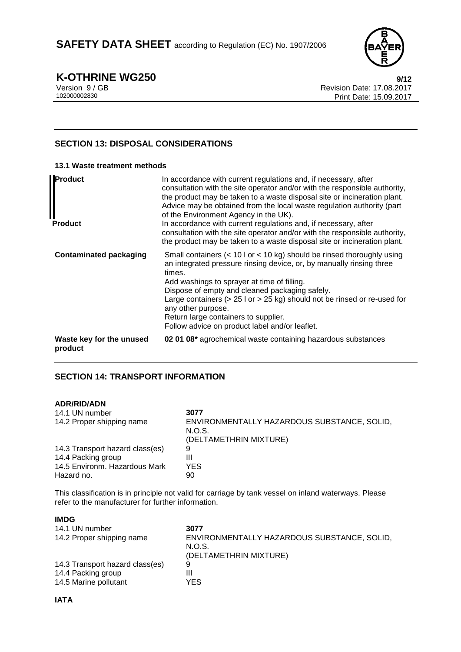

**K-OTHRINE WG250 9/12**<br>
Version 9/GB **17.08.2017** Version 9 / GB Revision Date: 17.08.2017 Print Date: 15.09.2017

# **SECTION 13: DISPOSAL CONSIDERATIONS**

### **13.1 Waste treatment methods**

| Product<br><b>Product</b>           | In accordance with current regulations and, if necessary, after<br>consultation with the site operator and/or with the responsible authority,<br>the product may be taken to a waste disposal site or incineration plant.<br>Advice may be obtained from the local waste regulation authority (part<br>of the Environment Agency in the UK).<br>In accordance with current regulations and, if necessary, after<br>consultation with the site operator and/or with the responsible authority,<br>the product may be taken to a waste disposal site or incineration plant. |
|-------------------------------------|---------------------------------------------------------------------------------------------------------------------------------------------------------------------------------------------------------------------------------------------------------------------------------------------------------------------------------------------------------------------------------------------------------------------------------------------------------------------------------------------------------------------------------------------------------------------------|
| <b>Contaminated packaging</b>       | Small containers $(< 10$ I or $< 10$ kg) should be rinsed thoroughly using<br>an integrated pressure rinsing device, or, by manually rinsing three<br>times.<br>Add washings to sprayer at time of filling.<br>Dispose of empty and cleaned packaging safely.<br>Large containers ( $> 25$ l or $> 25$ kg) should not be rinsed or re-used for<br>any other purpose.<br>Return large containers to supplier.<br>Follow advice on product label and/or leaflet.                                                                                                            |
| Waste key for the unused<br>product | 02 01 08* agrochemical waste containing hazardous substances                                                                                                                                                                                                                                                                                                                                                                                                                                                                                                              |

# **SECTION 14: TRANSPORT INFORMATION**

### **ADR/RID/ADN**

| 14.1 UN number<br>14.2 Proper shipping name | 3077<br>ENVIRONMENTALLY HAZARDOUS SUBSTANCE, SOLID, |
|---------------------------------------------|-----------------------------------------------------|
|                                             | N.O.S.<br>(DELTAMETHRIN MIXTURE)                    |
| 14.3 Transport hazard class(es)             | 9                                                   |
| 14.4 Packing group                          | Ш                                                   |
| 14.5 Environm. Hazardous Mark               | YES                                                 |
| Hazard no.                                  | 90                                                  |

This classification is in principle not valid for carriage by tank vessel on inland waterways. Please refer to the manufacturer for further information.

| <b>IMDG</b>                     |                                             |
|---------------------------------|---------------------------------------------|
| 14.1 UN number                  | 3077                                        |
| 14.2 Proper shipping name       | ENVIRONMENTALLY HAZARDOUS SUBSTANCE, SOLID, |
|                                 | N.O.S.                                      |
|                                 | (DELTAMETHRIN MIXTURE)                      |
| 14.3 Transport hazard class(es) | 9                                           |
| 14.4 Packing group              | Ш                                           |
| 14.5 Marine pollutant           | YES.                                        |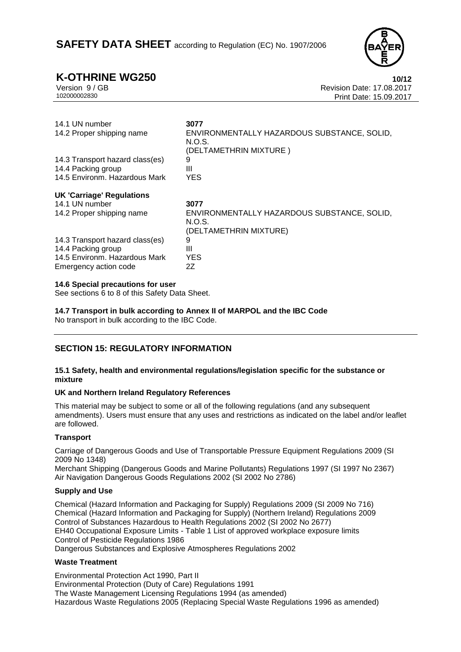

**K-OTHRINE WG250 10/12**<br>Version 9 / GB **10/12**<br>Revision Date: 17.08.2017 Version 9 / GB Revision Date: 17.08.2017 Print Date: 15.09.2017

| 14.1 UN number<br>14.2 Proper shipping name                                     | 3077<br>ENVIRONMENTALLY HAZARDOUS SUBSTANCE, SOLID,<br>N.O.S.<br>(DELTAMETHRIN MIXTURE) |
|---------------------------------------------------------------------------------|-----------------------------------------------------------------------------------------|
| 14.3 Transport hazard class(es)                                                 | 9                                                                                       |
| 14.4 Packing group                                                              | Ш                                                                                       |
| 14.5 Environm, Hazardous Mark                                                   | <b>YES</b>                                                                              |
| <b>UK 'Carriage' Regulations</b><br>14.1 UN number<br>14.2 Proper shipping name | 3077<br>ENVIRONMENTALLY HAZARDOUS SUBSTANCE, SOLID,                                     |
|                                                                                 | N.O.S.<br>(DELTAMETHRIN MIXTURE)                                                        |
| 14.3 Transport hazard class(es)                                                 | 9<br>Ш                                                                                  |
| 14.4 Packing group<br>14.5 Environm, Hazardous Mark                             | <b>YES</b>                                                                              |
| Emergency action code                                                           | 2Ζ                                                                                      |

#### **14.6 Special precautions for user**

See sections 6 to 8 of this Safety Data Sheet.

**14.7 Transport in bulk according to Annex II of MARPOL and the IBC Code**

No transport in bulk according to the IBC Code.

# **SECTION 15: REGULATORY INFORMATION**

#### **15.1 Safety, health and environmental regulations/legislation specific for the substance or mixture**

### **UK and Northern Ireland Regulatory References**

This material may be subject to some or all of the following regulations (and any subsequent amendments). Users must ensure that any uses and restrictions as indicated on the label and/or leaflet are followed.

### **Transport**

Carriage of Dangerous Goods and Use of Transportable Pressure Equipment Regulations 2009 (SI 2009 No 1348)

Merchant Shipping (Dangerous Goods and Marine Pollutants) Regulations 1997 (SI 1997 No 2367) Air Navigation Dangerous Goods Regulations 2002 (SI 2002 No 2786)

### **Supply and Use**

Chemical (Hazard Information and Packaging for Supply) Regulations 2009 (SI 2009 No 716) Chemical (Hazard Information and Packaging for Supply) (Northern Ireland) Regulations 2009 Control of Substances Hazardous to Health Regulations 2002 (SI 2002 No 2677) EH40 Occupational Exposure Limits - Table 1 List of approved workplace exposure limits Control of Pesticide Regulations 1986 Dangerous Substances and Explosive Atmospheres Regulations 2002

### **Waste Treatment**

Environmental Protection Act 1990, Part II Environmental Protection (Duty of Care) Regulations 1991 The Waste Management Licensing Regulations 1994 (as amended) Hazardous Waste Regulations 2005 (Replacing Special Waste Regulations 1996 as amended)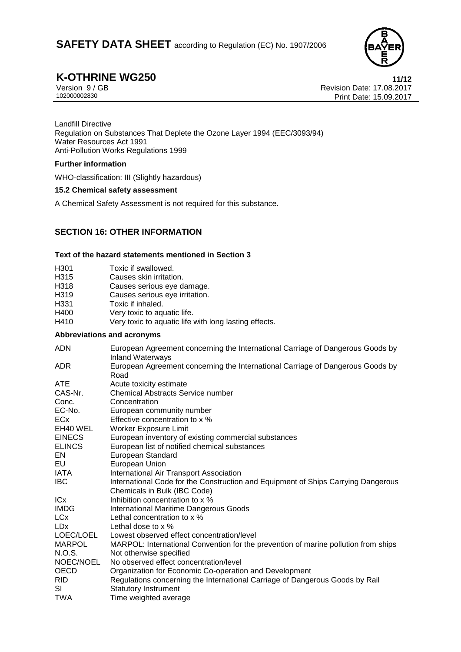

**K-OTHRINE WG250 11/12**<br>Version 9/GB **11/12**<br>Revision Date: 17.08.2017 Version 9 / GB Revision Date: 17.08.2017 Print Date: 15.09.2017

Landfill Directive Regulation on Substances That Deplete the Ozone Layer 1994 (EEC/3093/94) Water Resources Act 1991 Anti-Pollution Works Regulations 1999

### **Further information**

WHO-classification: III (Slightly hazardous)

### **15.2 Chemical safety assessment**

A Chemical Safety Assessment is not required for this substance.

# **SECTION 16: OTHER INFORMATION**

### **Text of the hazard statements mentioned in Section 3**

| H301 | Toxic if swallowed.                                   |
|------|-------------------------------------------------------|
| H315 | Causes skin irritation.                               |
| H318 | Causes serious eye damage.                            |
| H319 | Causes serious eye irritation.                        |
| H331 | Toxic if inhaled.                                     |
| H400 | Very toxic to aquatic life.                           |
| H410 | Very toxic to aquatic life with long lasting effects. |

### **Abbreviations and acronyms**

| <b>ADN</b>      | European Agreement concerning the International Carriage of Dangerous Goods by<br><b>Inland Waterways</b> |
|-----------------|-----------------------------------------------------------------------------------------------------------|
| <b>ADR</b>      | European Agreement concerning the International Carriage of Dangerous Goods by<br>Road                    |
| <b>ATE</b>      | Acute toxicity estimate                                                                                   |
| CAS-Nr.         | Chemical Abstracts Service number                                                                         |
| Conc.           | Concentration                                                                                             |
| EC-No.          | European community number                                                                                 |
| ECx             | Effective concentration to x %                                                                            |
| EH40 WEL        | Worker Exposure Limit                                                                                     |
| <b>EINECS</b>   | European inventory of existing commercial substances                                                      |
| <b>ELINCS</b>   | European list of notified chemical substances                                                             |
| EN.             | European Standard                                                                                         |
| EU              | European Union                                                                                            |
| IATA            | International Air Transport Association                                                                   |
| <b>IBC</b>      | International Code for the Construction and Equipment of Ships Carrying Dangerous                         |
|                 | Chemicals in Bulk (IBC Code)                                                                              |
| <b>ICx</b>      | Inhibition concentration to x %                                                                           |
| <b>IMDG</b>     | <b>International Maritime Dangerous Goods</b>                                                             |
| LCx             | Lethal concentration to x %                                                                               |
| LD <sub>x</sub> | Lethal dose to $\times$ %                                                                                 |
| LOEC/LOEL       | Lowest observed effect concentration/level                                                                |
| <b>MARPOL</b>   | MARPOL: International Convention for the prevention of marine pollution from ships                        |
| N.O.S.          | Not otherwise specified                                                                                   |
| NOEC/NOEL       | No observed effect concentration/level                                                                    |
| <b>OECD</b>     | Organization for Economic Co-operation and Development                                                    |
| RID.            | Regulations concerning the International Carriage of Dangerous Goods by Rail                              |
| SI              | <b>Statutory Instrument</b>                                                                               |
| TWA             | Time weighted average                                                                                     |